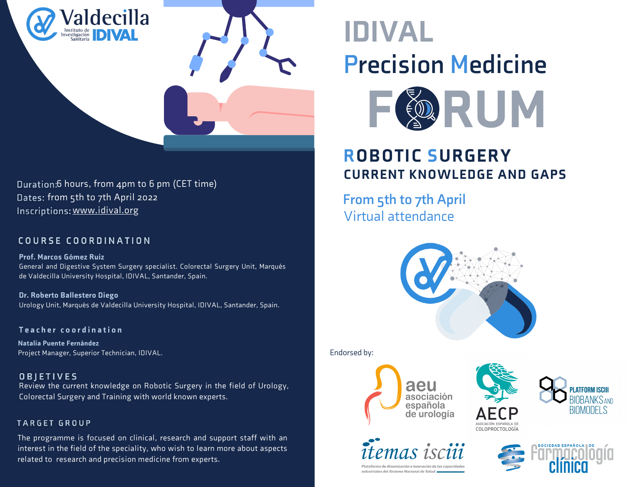

Duration:6 hours, from 4pm to 6 pm (CET time) Dates: from 5th to 7th April 2022 Inscriptions: [www.idival.org](https://aplicacionesidival.idival.org/ConvocatoriasPropias/es/Convocatorias/VerConvocatoria?Id=889)

#### COURSE COORDINATION

Prof. Marcos Gómez Ruiz General and Digestive System Surgery specialist. Colorectal Surgery Unit, Marqués de Valdecilla University Hospital, IDIVAL, Santander, Spain.

Dr. Roberto Ballestero Diego Urology Unit, Marqués de Valdecilla University Hospital, IDIVAL, Santander, Spain.

Natalia Puente Fernández Project Manager, Superior Technician, IDIVAL. Teacher coordination

**OBIETIVES** Review the current knowledge on Robotic Surgery in the field of Urology, Colorectal Surgery and Training with world known experts.

#### **TARGET GROUP**

The programme is focused on clinical, research and support staff with an interest in the field of the speciality, who wish to learn more about aspects related to research and precision medicine from experts.

# IDIVAL **Precision Medicine**



### ROBOTIC SURGERY CURRENT KNOWLEDGE AND GAPS

**From 5th to 7th April** Virtual attendance



Endorsed by:







COLOPROCTOLOGÍA



Plataforma de dinamización e innovación de las capacidad industriales del Sistema Nacional de Salud